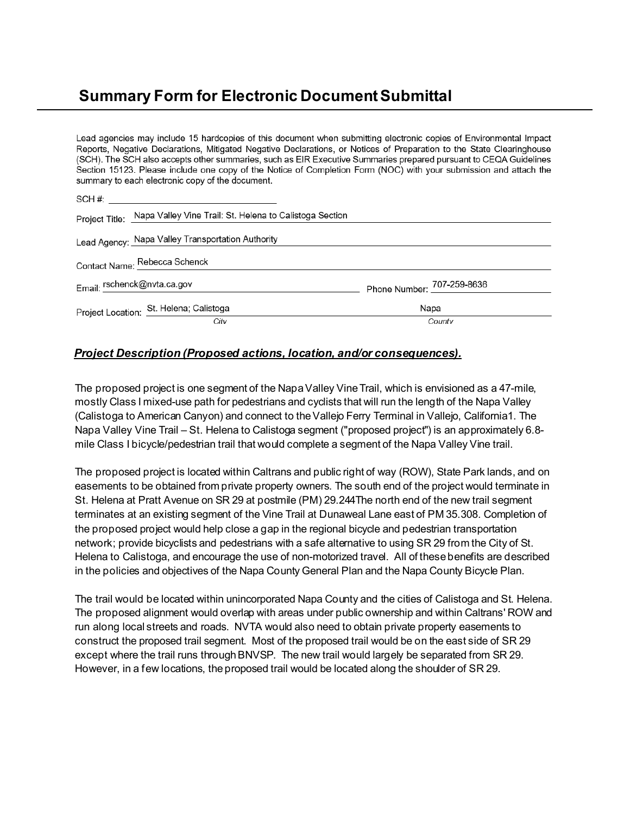# **Summary Form for Electronic Document Submittal**

Lead agencies may include 15 hardcopies of this document when submitting electronic copies of Environmental Impact Reports, Negative Declarations, Mitigated Negative Declarations, or Notices of Preparation to the State Clearinghouse (SCH). The SCH also accepts other summaries, such as EIR Executive Summaries prepared pursuant to CEQA Guidelines Section 15123. Please include one copy of the Notice of Completion Form (NOC) with your submission and attach the summary to each electronic copy of the document.

| Project Title: Napa Valley Vine Trail: St. Helena to Calistoga Section |                            |
|------------------------------------------------------------------------|----------------------------|
| Lead Agency: Napa Valley Transportation Authority                      |                            |
| Contact Name: Rebecca Schenck                                          |                            |
| Email: rschenck@nvta.ca.gov                                            | Phone Number: 707-259-8636 |
| Project Location: St. Helena; Calistoga                                | Napa                       |
| City                                                                   | County                     |

## *Project Description (Proposed actions, location, and/or consequences).*

The proposed project is one segment of the Napa Valley Vine Trail, which is envisioned as a 47-mile, mostly Class I mixed-use path for pedestrians and cyclists that will run the length of the Napa Valley (Calistoga to American Canyon) and connect to the Vallejo Ferry Terminal in Vallejo, California1. The Napa Valley Vine Trail – St. Helena to Calistoga segment ("proposed project") is an approximately 6.8 mile Class I bicycle/pedestrian trail that would complete a segment of the Napa Valley Vine trail.

The proposed project is located within Caltrans and public right of way (ROW), State Park lands, and on easements to be obtained from private property owners. The south end of the project would terminate in St. Helena at Pratt Avenue on SR 29 at postmile (PM) 29.244The north end of the new trail segment terminates at an existing segment of the Vine Trail at Dunaweal Lane east of PM 35.308. Completion of the proposed project would help close a gap in the regional bicycle and pedestrian transportation network; provide bicyclists and pedestrians with a safe alternative to using SR 29 from the City of St. Helena to Calistoga, and encourage the use of non-motorized travel. All of these benefits are described in the policies and objectives of the Napa County General Plan and the Napa County Bicycle Plan.

The trail would be located within unincorporated Napa County and the cities of Calistoga and St. Helena. The proposed alignment would overlap with areas under public ownership and within Caltrans' ROW and run along local streets and roads. NVTA would also need to obtain private property easements to construct the proposed trail segment. Most of the proposed trail would be on the east side of SR 29 except where the trail runs through BNVSP. The new trail would largely be separated from SR 29. However, in a few locations, the proposed trail would be located along the shoulder of SR 29.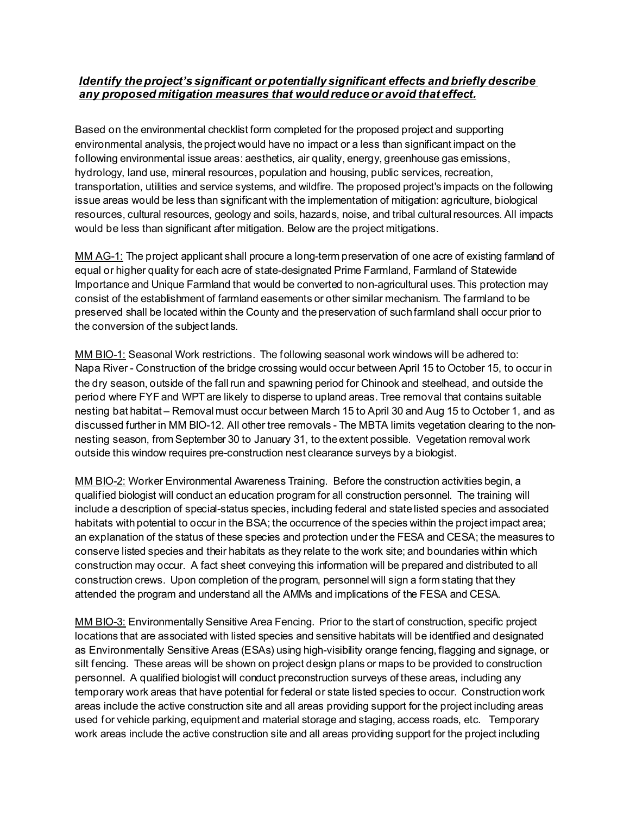## *Identify the project's significant or potentially significant effects and briefly describe any proposed mitigation measures that would reduce or avoid that effect.*

Based on the environmental checklist form completed for the proposed project and supporting environmental analysis, the project would have no impact or a less than significant impact on the following environmental issue areas: aesthetics, air quality, energy, greenhouse gas emissions, hydrology, land use, mineral resources, population and housing, public services, recreation, transportation, utilities and service systems, and wildfire. The proposed project's impacts on the following issue areas would be less than significant with the implementation of mitigation: agriculture, biological resources, cultural resources, geology and soils, hazards, noise, and tribal cultural resources. All impacts would be less than significant after mitigation. Below are the project mitigations.

MM AG-1: The project applicant shall procure a long-term preservation of one acre of existing farmland of equal or higher quality for each acre of state-designated Prime Farmland, Farmland of Statewide Importance and Unique Farmland that would be converted to non-agricultural uses. This protection may consist of the establishment of farmland easements or other similar mechanism. The farmland to be preserved shall be located within the County and the preservation of such farmland shall occur prior to the conversion of the subject lands.

MM BIO-1: Seasonal Work restrictions. The following seasonal work windows will be adhered to: Napa River - Construction of the bridge crossing would occur between April 15 to October 15, to occur in the dry season, outside of the fall run and spawning period for Chinook and steelhead, and outside the period where FYF and WPT are likely to disperse to upland areas. Tree removal that contains suitable nesting bat habitat – Removal must occur between March 15 to April 30 and Aug 15 to October 1, and as discussed further in MM BIO-12. All other tree removals - The MBTA limits vegetation clearing to the nonnesting season, from September 30 to January 31, to the extent possible. Vegetation removal work outside this window requires pre-construction nest clearance surveys by a biologist.

MM BIO-2: Worker Environmental Awareness Training. Before the construction activities begin, a qualified biologist will conduct an education program for all construction personnel. The training will include a description of special-status species, including federal and state listed species and associated habitats with potential to occur in the BSA; the occurrence of the species within the project impact area; an explanation of the status of these species and protection under the FESA and CESA; the measures to conserve listed species and their habitats as they relate to the work site; and boundaries within which construction may occur. A fact sheet conveying this information will be prepared and distributed to all construction crews. Upon completion of the program, personnel will sign a form stating that they attended the program and understand all the AMMs and implications of the FESA and CESA.

MM BIO-3: Environmentally Sensitive Area Fencing. Prior to the start of construction, specific project locations that are associated with listed species and sensitive habitats will be identified and designated as Environmentally Sensitive Areas (ESAs) using high-visibility orange fencing, flagging and signage, or silt fencing. These areas will be shown on project design plans or maps to be provided to construction personnel. A qualified biologist will conduct preconstruction surveys of these areas, including any temporary work areas that have potential for federal or state listed species to occur. Construction work areas include the active construction site and all areas providing support for the project including areas used for vehicle parking, equipment and material storage and staging, access roads, etc. Temporary work areas include the active construction site and all areas providing support for the project including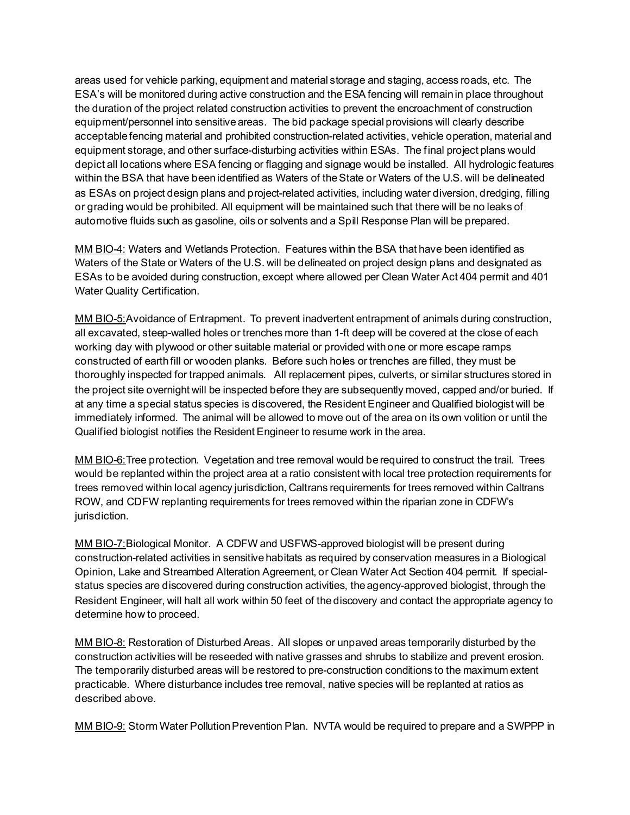areas used for vehicle parking, equipment and material storage and staging, access roads, etc. The ESA's will be monitored during active construction and the ESA fencing will remain in place throughout the duration of the project related construction activities to prevent the encroachment of construction equipment/personnel into sensitive areas. The bid package special provisions will clearly describe acceptable fencing material and prohibited construction-related activities, vehicle operation, material and equipment storage, and other surface-disturbing activities within ESAs. The final project plans would depict all locations where ESA fencing or flagging and signage would be installed. All hydrologic features within the BSA that have been identified as Waters of the State or Waters of the U.S. will be delineated as ESAs on project design plans and project-related activities, including water diversion, dredging, filling or grading would be prohibited. All equipment will be maintained such that there will be no leaks of automotive fluids such as gasoline, oils or solvents and a Spill Response Plan will be prepared.

MM BIO-4: Waters and Wetlands Protection. Features within the BSA that have been identified as Waters of the State or Waters of the U.S. will be delineated on project design plans and designated as ESAs to be avoided during construction, except where allowed per Clean Water Act 404 permit and 401 Water Quality Certification.

MM BIO-5:Avoidance of Entrapment. To prevent inadvertent entrapment of animals during construction, all excavated, steep-walled holes or trenches more than 1-ft deep will be covered at the close of each working day with plywood or other suitable material or provided with one or more escape ramps constructed of earth fill or wooden planks. Before such holes or trenches are filled, they must be thoroughly inspected for trapped animals. All replacement pipes, culverts, or similar structures stored in the project site overnight will be inspected before they are subsequently moved, capped and/or buried. If at any time a special status species is discovered, the Resident Engineer and Qualified biologist will be immediately informed. The animal will be allowed to move out of the area on its own volition or until the Qualified biologist notifies the Resident Engineer to resume work in the area.

MM BIO-6: Tree protection. Vegetation and tree removal would be required to construct the trail. Trees would be replanted within the project area at a ratio consistent with local tree protection requirements for trees removed within local agency jurisdiction, Caltrans requirements for trees removed within Caltrans ROW, and CDFW replanting requirements for trees removed within the riparian zone in CDFW's jurisdiction.

MM BIO-7:Biological Monitor. A CDFW and USFWS-approved biologist will be present during construction-related activities in sensitive habitats as required by conservation measures in a Biological Opinion, Lake and Streambed Alteration Agreement, or Clean Water Act Section 404 permit. If specialstatus species are discovered during construction activities, the agency-approved biologist, through the Resident Engineer, will halt all work within 50 feet of the discovery and contact the appropriate agency to determine how to proceed.

MM BIO-8: Restoration of Disturbed Areas. All slopes or unpaved areas temporarily disturbed by the construction activities will be reseeded with native grasses and shrubs to stabilize and prevent erosion. The temporarily disturbed areas will be restored to pre-construction conditions to the maximum extent practicable. Where disturbance includes tree removal, native species will be replanted at ratios as described above.

MM BIO-9: Storm Water Pollution Prevention Plan. NVTA would be required to prepare and a SWPPP in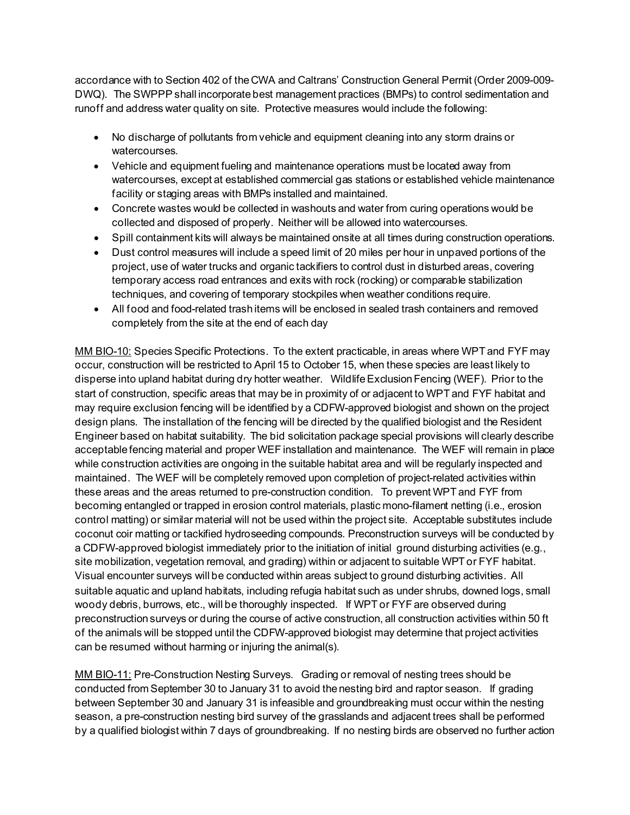accordance with to Section 402 of the CWA and Caltrans' Construction General Permit (Order 2009-009- DWQ). The SWPPP shall incorporate best management practices (BMPs) to control sedimentation and runoff and address water quality on site. Protective measures would include the following:

- No discharge of pollutants from vehicle and equipment cleaning into any storm drains or watercourses.
- Vehicle and equipment fueling and maintenance operations must be located away from watercourses, except at established commercial gas stations or established vehicle maintenance facility or staging areas with BMPs installed and maintained.
- Concrete wastes would be collected in washouts and water from curing operations would be collected and disposed of properly. Neither will be allowed into watercourses.
- Spill containment kits will always be maintained onsite at all times during construction operations.
- Dust control measures will include a speed limit of 20 miles per hour in unpaved portions of the project, use of water trucks and organic tackifiers to control dust in disturbed areas, covering temporary access road entrances and exits with rock (rocking) or comparable stabilization techniques, and covering of temporary stockpiles when weather conditions require.
- All food and food-related trash items will be enclosed in sealed trash containers and removed completely from the site at the end of each day

MM BIO-10: Species Specific Protections. To the extent practicable, in areas where WPT and FYF may occur, construction will be restricted to April 15 to October 15, when these species are least likely to disperse into upland habitat during dry hotter weather. Wildlife Exclusion Fencing (WEF). Prior to the start of construction, specific areas that may be in proximity of or adjacent to WPT and FYF habitat and may require exclusion fencing will be identified by a CDFW-approved biologist and shown on the project design plans. The installation of the fencing will be directed by the qualified biologist and the Resident Engineer based on habitat suitability. The bid solicitation package special provisions will clearly describe acceptable fencing material and proper WEF installation and maintenance. The WEF will remain in place while construction activities are ongoing in the suitable habitat area and will be regularly inspected and maintained. The WEF will be completely removed upon completion of project-related activities within these areas and the areas returned to pre-construction condition. To prevent WPT and FYF from becoming entangled or trapped in erosion control materials, plastic mono-filament netting (i.e., erosion control matting) or similar material will not be used within the project site. Acceptable substitutes include coconut coir matting or tackified hydroseeding compounds. Preconstruction surveys will be conducted by a CDFW-approved biologist immediately prior to the initiation of initial ground disturbing activities (e.g., site mobilization, vegetation removal, and grading) within or adjacent to suitable WPT or FYF habitat. Visual encounter surveys will be conducted within areas subject to ground disturbing activities. All suitable aquatic and upland habitats, including refugia habitat such as under shrubs, downed logs, small woody debris, burrows, etc., will be thoroughly inspected. If WPT or FYF are observed during preconstruction surveys or during the course of active construction, all construction activities within 50 ft of the animals will be stopped until the CDFW-approved biologist may determine that project activities can be resumed without harming or injuring the animal(s).

MM BIO-11: Pre-Construction Nesting Surveys. Grading or removal of nesting trees should be conducted from September 30 to January 31 to avoid the nesting bird and raptor season. If grading between September 30 and January 31 is infeasible and groundbreaking must occur within the nesting season, a pre-construction nesting bird survey of the grasslands and adjacent trees shall be performed by a qualified biologist within 7 days of groundbreaking. If no nesting birds are observed no further action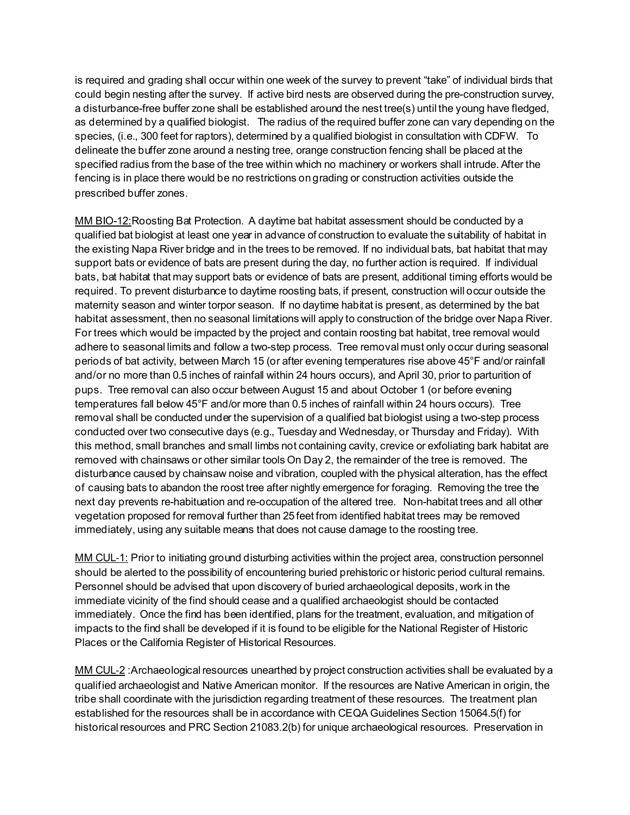is required and grading shall occur within one week of the survey to prevent "take" of individual birds that could begin nesting after the survey. If active bird nests are observed during the pre-construction survey, a disturbance-free buffer zone shall be established around the nest tree(s) until the young have fledged, as determined by a qualified biologist. The radius of the required buffer zone can vary depending on the species, (i.e., 300 feet for raptors), determined by a qualified biologist in consultation with CDFW. To delineate the buffer zone around a nesting tree, orange construction fencing shall be placed at the specified radius from the base of the tree within which no machinery or workers shall intrude. After the fencing is in place there would be no restrictions on grading or construction activities outside the prescribed buffer zones.

MM BIO-12: Roosting Bat Protection. A daytime bat habitat assessment should be conducted by a qualified bat biologist at least one year in advance of construction to evaluate the suitability of habitat in the existing Napa River bridge and in the trees to be removed. If no individual bats, bat habitat that may support bats or evidence of bats are present during the day, no further action is required. If individual bats, bat habitat that may support bats or evidence of bats are present, additional timing efforts would be required. To prevent disturbance to daytime roosting bats, if present, construction will occur outside the maternity season and winter torpor season. If no daytime habitat is present, as determined by the bat habitat assessment, then no seasonal limitations will apply to construction of the bridge over Napa River. For trees which would be impacted by the project and contain roosting bat habitat, tree removal would adhere to seasonal limits and follow a two-step process. Tree removal must only occur during seasonal periods of bat activity, between March 15 (or after evening temperatures rise above 45°F and/or rainfall and/or no more than 0.5 inches of rainfall within 24 hours occurs), and April 30, prior to parturition of pups. Tree removal can also occur between August 15 and about October 1 (or before evening temperatures fall below 45°F and/or more than 0.5 inches of rainfall within 24 hours occurs). Tree removal shall be conducted under the supervision of a qualified bat biologist using a two-step process conducted over two consecutive days (e.g., Tuesday and Wednesday, or Thursday and Friday). With this method, small branches and small limbs not containing cavity, crevice or exfoliating bark habitat are removed with chainsaws or other similar tools On Day 2, the remainder of the tree is removed. The disturbance caused by chainsaw noise and vibration, coupled with the physical alteration, has the effect of causing bats to abandon the roost tree after nightly emergence for foraging. Removing the tree the next day prevents re-habituation and re-occupation of the altered tree. Non-habitat trees and all other vegetation proposed for removal further than 25 feet from identified habitat trees may be removed immediately, using any suitable means that does not cause damage to the roosting tree.

MM CUL-1: Prior to initiating ground disturbing activities within the project area, construction personnel should be alerted to the possibility of encountering buried prehistoric or historic period cultural remains. Personnel should be advised that upon discovery of buried archaeological deposits, work in the immediate vicinity of the find should cease and a qualified archaeologist should be contacted immediately. Once the find has been identified, plans for the treatment, evaluation, and mitigation of impacts to the find shall be developed if it is found to be eligible for the National Register of Historic Places or the California Register of Historical Resources.

MM CUL-2 : Archaeological resources unearthed by project construction activities shall be evaluated by a qualified archaeologist and Native American monitor. If the resources are Native American in origin, the tribe shall coordinate with the jurisdiction regarding treatment of these resources. The treatment plan established for the resources shall be in accordance with CEQA Guidelines Section 15064.5(f) for historical resources and PRC Section 21083.2(b) for unique archaeological resources. Preservation in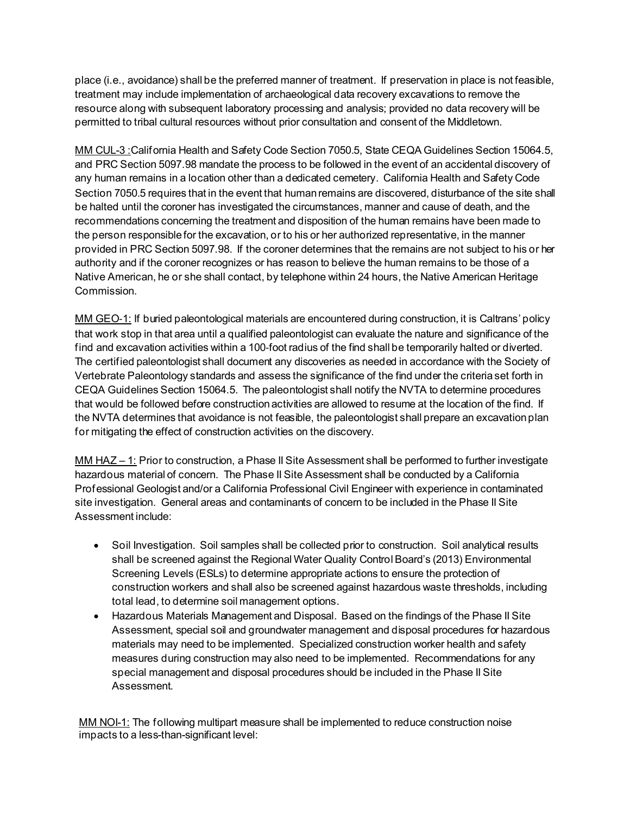place (i.e., avoidance) shall be the preferred manner of treatment. If preservation in place is not feasible, treatment may include implementation of archaeological data recovery excavations to remove the resource along with subsequent laboratory processing and analysis; provided no data recovery will be permitted to tribal cultural resources without prior consultation and consent of the Middletown.

MM CUL-3 :California Health and Safety Code Section 7050.5, State CEQA Guidelines Section 15064.5, and PRC Section 5097.98 mandate the process to be followed in the event of an accidental discovery of any human remains in a location other than a dedicated cemetery. California Health and Safety Code Section 7050.5 requires that in the event that human remains are discovered, disturbance of the site shall be halted until the coroner has investigated the circumstances, manner and cause of death, and the recommendations concerning the treatment and disposition of the human remains have been made to the person responsible for the excavation, or to his or her authorized representative, in the manner provided in PRC Section 5097.98. If the coroner determines that the remains are not subject to his or her authority and if the coroner recognizes or has reason to believe the human remains to be those of a Native American, he or she shall contact, by telephone within 24 hours, the Native American Heritage Commission.

MM GEO-1: If buried paleontological materials are encountered during construction, it is Caltrans' policy that work stop in that area until a qualified paleontologist can evaluate the nature and significance of the find and excavation activities within a 100-foot radius of the find shall be temporarily halted or diverted. The certified paleontologist shall document any discoveries as needed in accordance with the Society of Vertebrate Paleontology standards and assess the significance of the find under the criteria set forth in CEQA Guidelines Section 15064.5. The paleontologist shall notify the NVTA to determine procedures that would be followed before construction activities are allowed to resume at the location of the find. If the NVTA determines that avoidance is not feasible, the paleontologist shall prepare an excavation plan for mitigating the effect of construction activities on the discovery.

MM HAZ – 1: Prior to construction, a Phase II Site Assessment shall be performed to further investigate hazardous material of concern. The Phase II Site Assessment shall be conducted by a California Professional Geologist and/or a California Professional Civil Engineer with experience in contaminated site investigation. General areas and contaminants of concern to be included in the Phase II Site Assessment include:

- Soil Investigation. Soil samples shall be collected prior to construction. Soil analytical results shall be screened against the Regional Water Quality Control Board's (2013) Environmental Screening Levels (ESLs) to determine appropriate actions to ensure the protection of construction workers and shall also be screened against hazardous waste thresholds, including total lead, to determine soil management options.
- Hazardous Materials Management and Disposal. Based on the findings of the Phase II Site Assessment, special soil and groundwater management and disposal procedures for hazardous materials may need to be implemented. Specialized construction worker health and safety measures during construction may also need to be implemented. Recommendations for any special management and disposal procedures should be included in the Phase II Site Assessment.

MM NOI-1: The following multipart measure shall be implemented to reduce construction noise impacts to a less-than-significant level: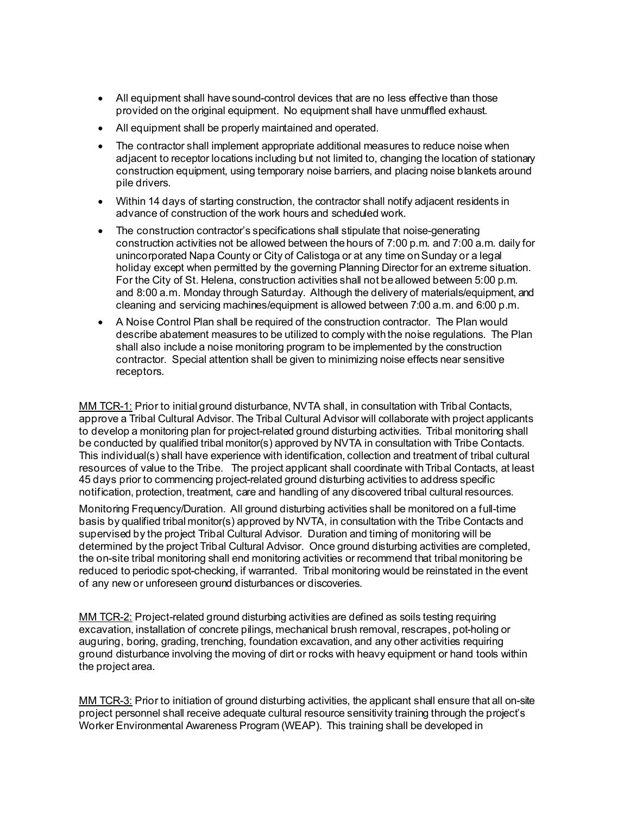- All equipment shall have sound-control devices that are no less effective than those provided on the original equipment. No equipment shall have unmuffled exhaust.
- All equipment shall be properly maintained and operated.
- The contractor shall implement appropriate additional measures to reduce noise when adjacent to receptor locations including but not limited to, changing the location of stationary construction equipment, using temporary noise barriers, and placing noise blankets around pile drivers.
- Within 14 days of starting construction, the contractor shall notify adjacent residents in advance of construction of the work hours and scheduled work.
- The construction contractor's specifications shall stipulate that noise-generating construction activities not be allowed between the hours of 7:00 p.m. and 7:00 a.m. daily for unincorporated Napa County or City of Calistoga or at any time on Sunday or a legal holiday except when permitted by the governing Planning Director for an extreme situation. For the City of St. Helena, construction activities shall not be allowed between 5:00 p.m. and 8:00 a.m. Monday through Saturday. Although the delivery of materials/equipment, and cleaning and servicing machines/equipment is allowed between 7:00 a.m. and 6:00 p.m.
- A Noise Control Plan shall be required of the construction contractor. The Plan would describe abatement measures to be utilized to comply with the noise regulations. The Plan shall also include a noise monitoring program to be implemented by the construction contractor. Special attention shall be given to minimizing noise effects near sensitive receptors.

MM TCR-1: Prior to initial ground disturbance, NVTA shall, in consultation with Tribal Contacts, approve a Tribal Cultural Advisor. The Tribal Cultural Advisor will collaborate with project applicants to develop a monitoring plan for project-related ground disturbing activities. Tribal monitoring shall be conducted by qualified tribal monitor(s) approved by NVTA in consultation with Tribe Contacts. This individual(s) shall have experience with identification, collection and treatment of tribal cultural resources of value to the Tribe. The project applicant shall coordinate with Tribal Contacts, at least 45 days prior to commencing project-related ground disturbing activities to address specific notification, protection, treatment, care and handling of any discovered tribal cultural resources.

Monitoring Frequency/Duration. All ground disturbing activities shall be monitored on a full-time basis by qualified tribal monitor(s) approved by NVTA, in consultation with the Tribe Contacts and supervised by the project Tribal Cultural Advisor. Duration and timing of monitoring will be determined by the project Tribal Cultural Advisor. Once ground disturbing activities are completed, the on-site tribal monitoring shall end monitoring activities or recommend that tribal monitoring be reduced to periodic spot-checking, if warranted. Tribal monitoring would be reinstated in the event of any new or unforeseen ground disturbances or discoveries.

MM TCR-2: Project-related ground disturbing activities are defined as soils testing requiring excavation, installation of concrete pilings, mechanical brush removal, rescrapes, pot-holing or auguring, boring, grading, trenching, foundation excavation, and any other activities requiring ground disturbance involving the moving of dirt or rocks with heavy equipment or hand tools within the project area.

MM TCR-3: Prior to initiation of ground disturbing activities, the applicant shall ensure that all on-site project personnel shall receive adequate cultural resource sensitivity training through the project's Worker Environmental Awareness Program (WEAP). This training shall be developed in